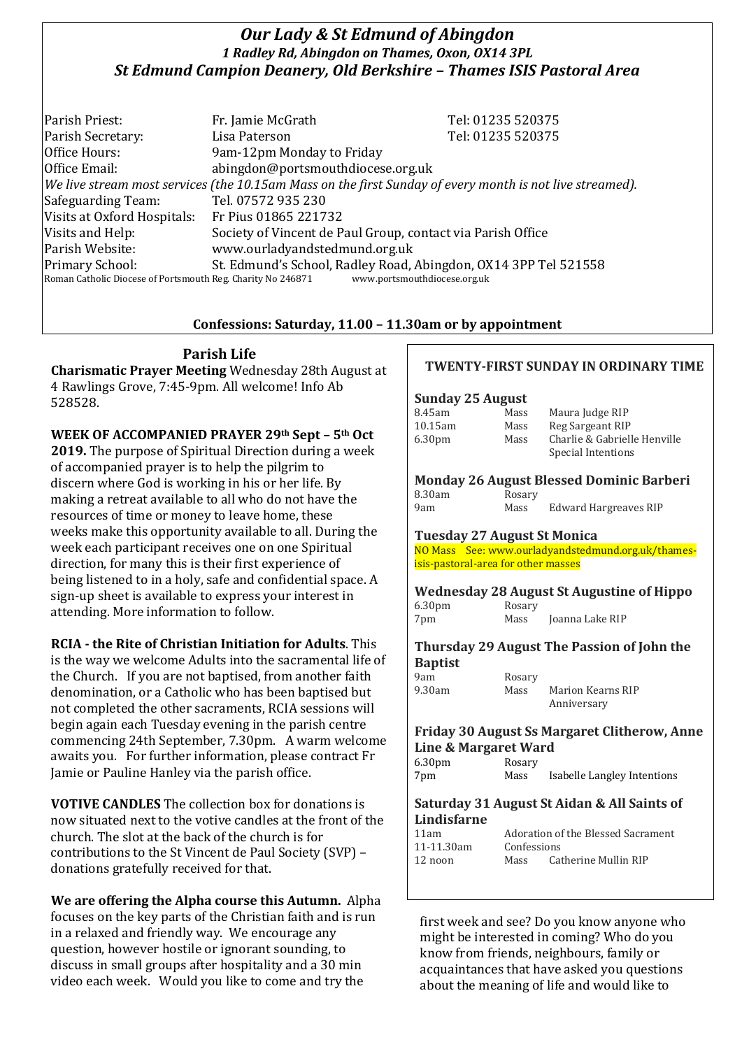# *Our Lady & St Edmund of Abingdon 1 Radley Rd, Abingdon on Thames, Oxon, OX14 3PL St Edmund Campion Deanery, Old Berkshire – Thames ISIS Pastoral Area*

Parish Priest: Fr. Jamie McGrath Tel: 01235 520375 Parish Secretary: Tel: 01235 520375 Office Hours: 9am-12pm Monday to Friday Office Email: abingdon@portsmouthdiocese.org.uk *We live stream most services (the 10.15am Mass on the first Sunday of every month is not live streamed).* Safeguarding Team: Tel. 07572 935 230 Visits at Oxford Hospitals: Fr Pius 01865 221732 Visits and Help: Society of Vincent de Paul Group, contact via Parish Office Parish Website: www.ourladyandstedmund.org.uk Primary School: St. Edmund's School, Radley Road, Abingdon, OX14 3PP Tel 521558 Roman Catholic Diocese of Portsmouth Reg. Charity No 246871 www.portsmouthdiocese.org.uk

## **Confessions: Saturday, 11.00 – 11.30am or by appointment**

# **Parish Life**

**Charismatic Prayer Meeting** Wednesday 28th August at 4 Rawlings Grove, 7:45-9pm. All welcome! Info Ab 528528.

**WEEK OF ACCOMPANIED PRAYER 29th Sept – 5th Oct 2019.** The purpose of Spiritual Direction during a week of accompanied prayer is to help the pilgrim to discern where God is working in his or her life. By making a retreat available to all who do not have the resources of time or money to leave home, these weeks make this opportunity available to all. During the week each participant receives one on one Spiritual direction, for many this is their first experience of being listened to in a holy, safe and confidential space. A sign-up sheet is available to express your interest in attending. More information to follow.

### **RCIA - the Rite of Christian Initiation for Adults**. This

is the way we welcome Adults into the sacramental life of the Church. If you are not baptised, from another faith denomination, or a Catholic who has been baptised but not completed the other sacraments, RCIA sessions will begin again each Tuesday evening in the parish centre commencing 24th September, 7.30pm. A warm welcome awaits you. For further information, please contract Fr Jamie or Pauline Hanley via the parish office.

**VOTIVE CANDLES** The collection box for donations is now situated next to the votive candles at the front of the church. The slot at the back of the church is for contributions to the St Vincent de Paul Society (SVP) – donations gratefully received for that.

**We are offering the Alpha course this Autumn.** Alpha focuses on the key parts of the Christian faith and is run in a relaxed and friendly way. We encourage any question, however hostile or ignorant sounding, to discuss in small groups after hospitality and a 30 min video each week. Would you like to come and try the

## **TWENTY-FIRST SUNDAY IN ORDINARY TIME**

### **Sunday 25 August**

| 8.45am             | Mass | Maura Judge RIP              |
|--------------------|------|------------------------------|
| 10.15am            | Mass | Reg Sargeant RIP             |
| 6.30 <sub>pm</sub> | Mass | Charlie & Gabrielle Henville |
|                    |      | Special Intentions           |

# **Monday 26 August Blessed Dominic Barberi**

| 8.30am |  |
|--------|--|
| 9am    |  |

Rosary Mass Edward Hargreaves RIP

### **Tuesday 27 August St Monica**

NO Mass See: www.ourladyandstedmund.org.uk/thamesisis-pastoral-area for other masses

#### **Wednesday 28 August St Augustine of Hippo** 6.30pm Rosary

7pm Mass Joanna Lake RIP

## **Thursday 29 August The Passion of John the Baptist**

| 9am    | Rosary |
|--------|--------|
| 9.30am | Mass   |
|        |        |

#### Mass Marion Kearns RIP Anniversary

### **Friday 30 August Ss Margaret Clitherow, Anne Line & Margaret Ward**

| 6.30 <sub>pm</sub> | Rosary |                             |
|--------------------|--------|-----------------------------|
| 7pm                | Mass   | Isabelle Langley Intentions |

### **Saturday 31 August St Aidan & All Saints of Lindisfarne**

| 11am       |             | Adoration of the Blessed Sacrament |
|------------|-------------|------------------------------------|
| 11-11.30am | Confessions |                                    |
| $12$ noon  | Mass        | Catherine Mullin RIP               |

first week and see? Do you know anyone who might be interested in coming? Who do you know from friends, neighbours, family or acquaintances that have asked you questions about the meaning of life and would like to